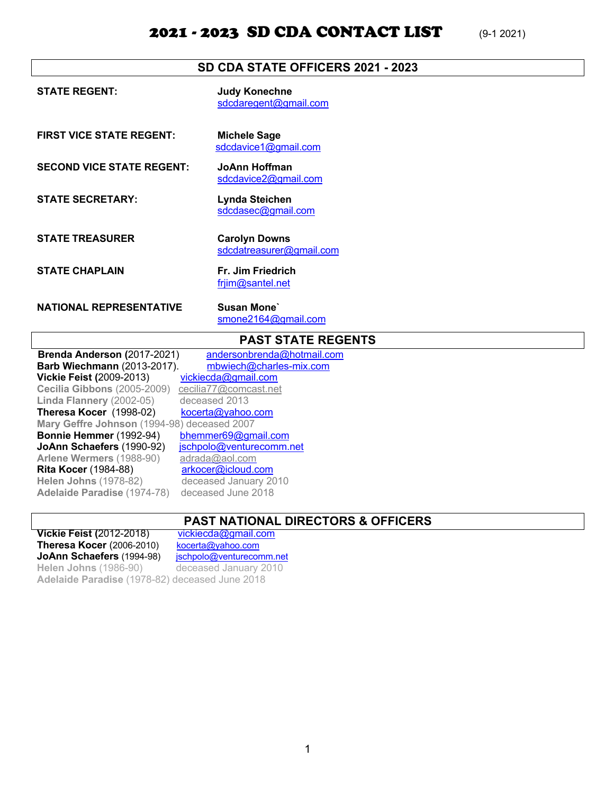### 2021 - 2023 SD CDA CONTACT LIST (9-1 2021)

| SD CDA STATE OFFICERS 2021 - 2023 |                                                  |
|-----------------------------------|--------------------------------------------------|
| <b>STATE REGENT:</b>              | <b>Judy Konechne</b><br>sdcdaregent@gmail.com    |
| <b>FIRST VICE STATE REGENT:</b>   | <b>Michele Sage</b><br>sdcdavice1@gmail.com      |
| <b>SECOND VICE STATE REGENT:</b>  | JoAnn Hoffman<br>sdcdavice2@gmail.com            |
| <b>STATE SECRETARY:</b>           | Lynda Steichen<br>sdcdasec@gmail.com             |
| <b>STATE TREASURER</b>            | <b>Carolyn Downs</b><br>sdcdatreasurer@gmail.com |
| <b>STATE CHAPLAIN</b>             | Fr. Jim Friedrich<br>frjim@santel.net            |
| <b>NATIONAL REPRESENTATIVE</b>    | <b>Susan Mone</b><br>smone2164@gmail.com         |
| <b>PAST STATE REGENTS</b>         |                                                  |
| Brenda Anderson (2017-2021)       | andersonbrenda@hotmail.com                       |

Barb Wiechmann (2013-2017). mbwiech@charles-mix.com **Vickie Feist (**2009-2013) vickiecda@gmail.com **Cecilia Gibbons** (2005-2009) cecilia77@comcast.net **Linda Flannery** (2002-05) deceased 2013 **Theresa Kocer** (1998-02) kocerta@yahoo.com **Mary Geffre Johnson** (1994-98) deceased 2007 **Bonnie Hemmer** (1992-94) bhemmer69@gmail.com<br>**JoAnn Schaefers** (1990-92) <u>ischpolo@venturecomm.net</u> **JoAnn Schaefers** (1990-92) **Arlene Wermers** (1988-90) adrada@aol.com **Rita Kocer** (1984-88) **arkocer@icloud.com Helen Johns** (1978-82) deceased January 2010 **Adelaide Paradise** (1974-78) deceased June 2018

#### **PAST NATIONAL DIRECTORS & OFFICERS**

**Vickie Feist (**2012-2018) vickiecda@gmail.com<br>Theresa Kocer (2006-2010) kocerta@yahoo.com **Theresa Kocer** (2006-2010) JoAnn Schaefers (1994-98) jschpolo@venturecomm.net **Helen Johns** (1986-90) deceased January 2010 **Adelaide Paradise** (1978-82) deceased June 2018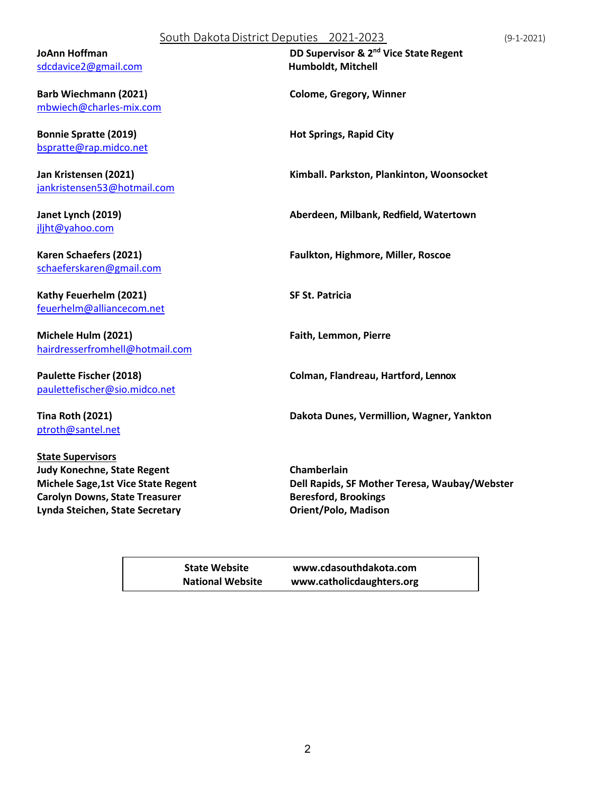#### South DakotaDistrict Deputies 2021-2023 (9-1-2021)

sdcdavice2@gmail.com **Humboldt, Mitchell** 

**Barb Wiechmann (2021) Colome, Gregory, Winner**  mbwiech@charles-mix.com

**Bonnie Spratte (2019) Hot Springs, Rapid City** bspratte@rap.midco.net

jankristensen53@hotmail.com

jljht@yahoo.com

schaeferskaren@gmail.com

**Kathy Feuerhelm (2021) SF St. Patricia** feuerhelm@alliancecom.net

**Michele Hulm (2021) Faith, Lemmon, Pierre** hairdresserfromhell@hotmail.com

paulettefischer@sio.midco.net

ptroth@santel.net

**State Supervisors Judy Konechne, State Regent Chamberlain Carolyn Downs, State Treasurer Beresford, Brookings Lynda Steichen, State Secretary Orient/Polo, Madison**

**JoAnn Hoffman DD Supervisor & 2nd Vice State Regent** 

**Jan Kristensen (2021) Kimball. Parkston, Plankinton, Woonsocket**

**Janet Lynch (2019) Aberdeen, Milbank, Redfield, Watertown**

**Karen Schaefers (2021) Faulkton, Highmore, Miller, Roscoe**

**Paulette Fischer (2018) Colman, Flandreau, Hartford, Lennox**

**Tina Roth (2021) Dakota Dunes, Vermillion, Wagner, Yankton**

**Michele Sage,1st Vice State Regent Dell Rapids, SF Mother Teresa, Waubay/Webster**

**State Website www.cdasouthdakota.com National Website www.catholicdaughters.org**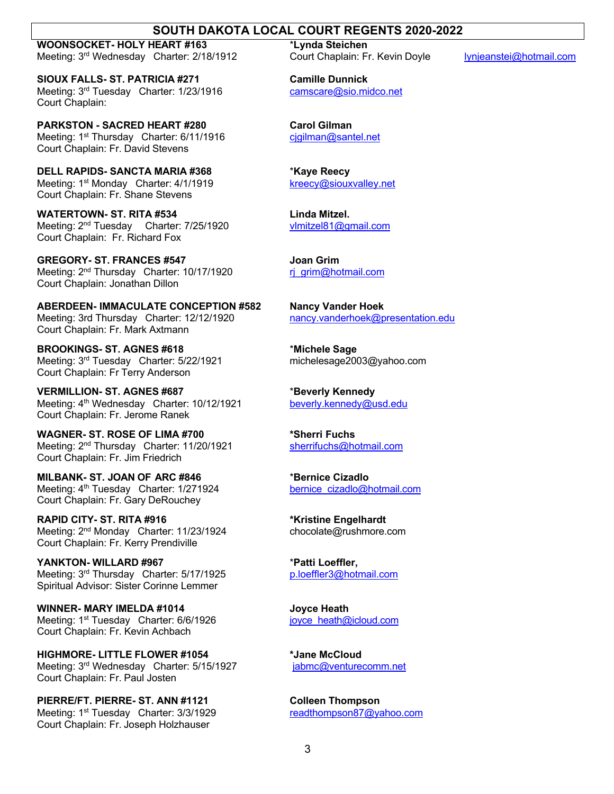#### **SOUTH DAKOTA LOCAL COURT REGENTS 2020-2022**

**WOONSOCKET- HOLY HEART #163** \***Lynda Steichen** Meeting: 3<sup>rd</sup> Wednesday Charter: 2/18/1912 Court Chaplain: Fr. Kevin Doyle lynjeanstei@hotmail.com

**SIOUX FALLS- ST. PATRICIA #271 Camille Dunnick** Meeting: 3<sup>rd</sup> Tuesday Charter: 1/23/1916 camscare@sio.midco.net Court Chaplain:

**PARKSTON - SACRED HEART #280 Carol Gilman** Meeting: 1<sup>st</sup> Thursday Charter: 6/11/1916 cjgilman@santel.net Court Chaplain: Fr. David Stevens

**DELL RAPIDS- SANCTA MARIA #368** \***Kaye Reecy** Meeting: 1<sup>st</sup> Monday Charter: 4/1/1919 **kreecy@siouxvalley.net** Court Chaplain: Fr. Shane Stevens

**WATERTOWN- ST. RITA #534 Linda Mitzel.** Meeting: 2<sup>nd</sup> Tuesday Charter: 7/25/1920 Court Chaplain: Fr. Richard Fox

**GREGORY- ST. FRANCES #547 Joan Grim** Meeting: 2<sup>nd</sup> Thursday Charter: 10/17/1920 rj\_grim@hotmail.com Court Chaplain: Jonathan Dillon

**ABERDEEN- IMMACULATE CONCEPTION #582 Nancy Vander Hoek** Meeting: 3rd Thursday Charter: 12/12/1920 nancy.vanderhoek@presentation.edu Court Chaplain: Fr. Mark Axtmann

**BROOKINGS- ST. AGNES #618** \***Michele Sage** Meeting: 3<sup>rd</sup> Tuesday Charter: 5/22/1921 michelesage2003@yahoo.com Court Chaplain: Fr Terry Anderson

**VERMILLION- ST. AGNES #687** \***Beverly Kennedy** Meeting: 4<sup>th</sup> Wednesday Charter: 10/12/1921 beverly.kennedy@usd.edu Court Chaplain: Fr. Jerome Ranek

**WAGNER- ST. ROSE OF LIMA #700 \*Sherri Fuchs** Meeting: 2<sup>nd</sup> Thursday Charter: 11/20/1921 sherrifuchs@hotmail.com Court Chaplain: Fr. Jim Friedrich

**MILBANK- ST. JOAN OF ARC #846** \***Bernice Cizadlo** Meeting: 4<sup>th</sup> Tuesday Charter: 1/271924 bernice cizadlo@hotmail.com Court Chaplain: Fr. Gary DeRouchey

**RAPID CITY- ST. RITA #916 \*Kristine Engelhardt** Meeting: 2<sup>nd</sup> Monday Charter: 11/23/1924 chocolate@rushmore.com Court Chaplain: Fr. Kerry Prendiville

**YANKTON- WILLARD #967** \***Patti Loeffler,** Meeting: 3<sup>rd</sup> Thursday Charter: 5/17/1925 p.loeffler3@hotmail.com Spiritual Advisor: Sister Corinne Lemmer

**WINNER- MARY IMELDA #1014 Joyce Heath** Meeting: 1<sup>st</sup> Tuesday Charter: 6/6/1926 **joyce** heath@icloud.com Court Chaplain: Fr. Kevin Achbach

**HIGHMORE- LITTLE FLOWER #1054 \*Jane McCloud** Meeting: 3<sup>rd</sup> Wednesday Charter: 5/15/1927 jabmc@venturecomm.net Court Chaplain: Fr. Paul Josten

**PIERRE/FT. PIERRE- ST. ANN #1121 Colleen Thompson** Meeting: 1<sup>st</sup> Tuesday Charter: 3/3/1929 readthompson87@yahoo.com Court Chaplain: Fr. Joseph Holzhauser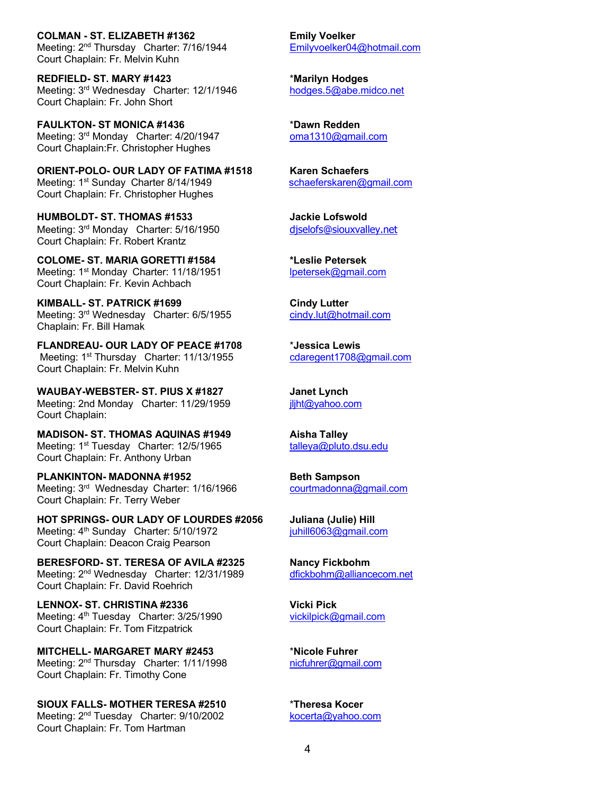**COLMAN - ST. ELIZABETH #1362 Emily Voelker** Meeting: 2<sup>nd</sup> Thursday Charter: 7/16/1944 Emilyvoelker04@hotmail.com Court Chaplain: Fr. Melvin Kuhn

**REDFIELD- ST. MARY #1423** \***Marilyn Hodges** Meeting: 3<sup>rd</sup> Wednesday Charter: 12/1/1946 hodges.5@abe.midco.net Court Chaplain: Fr. John Short

**FAULKTON- ST MONICA #1436** \***Dawn Redden** Meeting: 3<sup>rd</sup> Monday Charter: 4/20/1947 **commanders** oma1310@gmail.com Court Chaplain:Fr. Christopher Hughes

**ORIENT-POLO- OUR LADY OF FATIMA #1518 Karen Schaefers** Meeting: 1<sup>st</sup> Sunday Charter 8/14/1949 schaeferskaren@gmail.com Court Chaplain: Fr. Christopher Hughes

**HUMBOLDT- ST. THOMAS #1533 Jackie Lofswold** Meeting: 3<sup>rd</sup> Monday Charter: 5/16/1950 diselofs@siouxvalley.net Court Chaplain: Fr. Robert Krantz

**COLOME- ST. MARIA GORETTI #1584 \*Leslie Petersek** Meeting: 1<sup>st</sup> Monday Charter: 11/18/1951 lpetersek@gmail.com Court Chaplain: Fr. Kevin Achbach

**KIMBALL- ST. PATRICK #1699**<br>
Meeting: 3<sup>rd</sup> Wednesday Charter: 6/5/1955 **Cindy.lut@hotmail.com** Meeting: 3<sup>rd</sup> Wednesday Charter: 6/5/1955 Chaplain: Fr. Bill Hamak

**FLANDREAU- OUR LADY OF PEACE #1708** \***Jessica Lewis** Meeting: 1<sup>st</sup> Thursday Charter: 11/13/1955 cdaregent1708@gmail.com Court Chaplain: Fr. Melvin Kuhn

**WAUBAY-WEBSTER- ST. PIUS X #1827 Janet Lynch** Meeting: 2nd Monday Charter: 11/29/1959 iljht@yahoo.com Court Chaplain:

**MADISON- ST. THOMAS AQUINAS #1949 Aisha Talley** Meeting: 1<sup>st</sup> Tuesday Charter: 12/5/1965 talleya@pluto.dsu.edu Court Chaplain: Fr. Anthony Urban

**PLANKINTON- MADONNA #1952 Beth Sampson** Meeting: 3<sup>rd</sup> Wednesday Charter: 1/16/1966 courtmadonna@gmail.com Court Chaplain: Fr. Terry Weber

**HOT SPRINGS- OUR LADY OF LOURDES #2056 Juliana (Julie) Hill** Meeting: 4<sup>th</sup> Sunday Charter: 5/10/1972 *juhill6063@gmail.com* Court Chaplain: Deacon Craig Pearson

**BERESFORD- ST. TERESA OF AVILA #2325 Nancy Fickbohm**<br>Meeting: 2<sup>nd</sup> Wednesday Charter: 12/31/1989 dfickbohm@alliancecom.net Meeting: 2<sup>nd</sup> Wednesday Charter: 12/31/1989 Court Chaplain: Fr. David Roehrich

**LENNOX- ST. CHRISTINA #2336 Vicki Pick** Meeting: 4<sup>th</sup> Tuesday Charter: 3/25/1990 vickilpick@gmail.com Court Chaplain: Fr. Tom Fitzpatrick

**MITCHELL- MARGARET MARY #2453** \***Nicole Fuhrer** Meeting: 2<sup>nd</sup> Thursday Charter: 1/11/1998 nicfuhrer@gmail.com Court Chaplain: Fr. Timothy Cone

**SIOUX FALLS- MOTHER TERESA #2510** \***Theresa Kocer** Meeting: 2<sup>nd</sup> Tuesday Charter: 9/10/2002 kocerta@yahoo.com Court Chaplain: Fr. Tom Hartman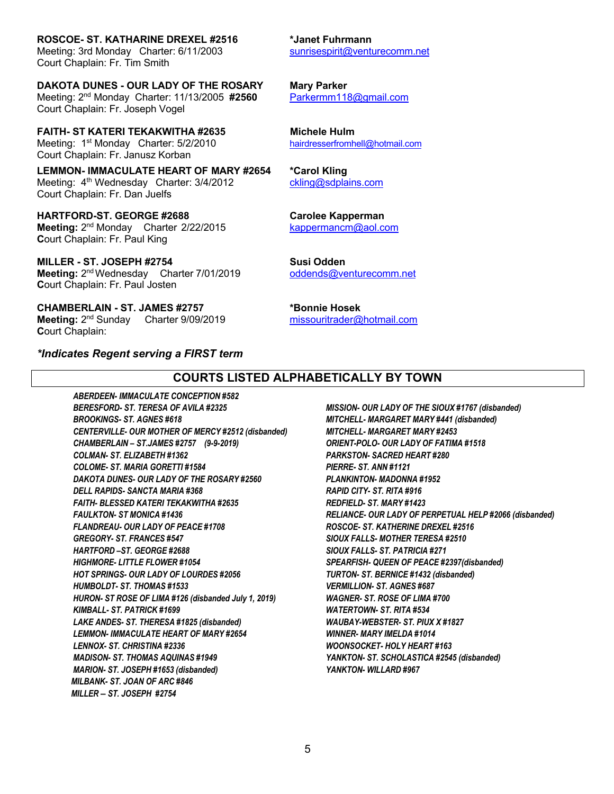**ROSCOE- ST. KATHARINE DREXEL #2516 \*Janet Fuhrmann**

Meeting: 3rd Monday Charter: 6/11/2003 sunrisespirit@venturecomm.net Court Chaplain: Fr. Tim Smith

**DAKOTA DUNES - OUR LADY OF THE ROSARY Mary Parker** Meeting: 2nd Monday Charter: 11/13/2005 **#2560** Parkermm118@gmail.com Court Chaplain: Fr. Joseph Vogel

**FAITH- ST KATERI TEKAKWITHA #2635 Michele Hulm** Meeting: 1<sup>st</sup> Monday Charter: 5/2/2010 hairdresserfromhell@hotmail.com Court Chaplain: Fr. Janusz Korban

**LEMMON- IMMACULATE HEART OF MARY #2654 \*Carol Kling** Meeting: 4<sup>th</sup> Wednesday Charter: 3/4/2012 ckling@sdplains.com Court Chaplain: Fr. Dan Juelfs

**HARTFORD-ST. GEORGE #2688 Carolee Kapperman Meeting:**  $2<sup>nd</sup>$  Monday Charter 2/22/2015 kappermancm@aol.com **C**ourt Chaplain: Fr. Paul King

**MILLER - ST. JOSEPH #2754 Susi Odden Meeting:**  $2^{nd}$  Wednesday Charter 7/01/2019 oddends@venturecomm.net **C**ourt Chaplain: Fr. Paul Josten

**CHAMBERLAIN - ST. JAMES #2757 \*Bonnie Hosek Meeting:** 2nd Sunday Charter 9/09/2019 missouritrader@hotmail.com **C**ourt Chaplain:

*\*Indicates Regent serving a FIRST term*

#### **COURTS LISTED ALPHABETICALLY BY TOWN**

*ABERDEEN- IMMACULATE CONCEPTION #582 BERESFORD- ST. TERESA OF AVILA #2325 BROOKINGS- ST. AGNES #618 CENTERVILLE- OUR MOTHER OF MERCY #2512 (disbanded) CHAMBERLAIN – ST.JAMES #2757 (9-9-2019) COLMAN- ST. ELIZABETH #1362 COLOME- ST. MARIA GORETTI #1584 DAKOTA DUNES- OUR LADY OF THE ROSARY #2560 DELL RAPIDS- SANCTA MARIA #368 FAITH- BLESSED KATERI TEKAKWITHA #2635 FAULKTON- ST MONICA #1436 FLANDREAU- OUR LADY OF PEACE #1708 GREGORY- ST. FRANCES #547 HARTFORD –ST. GEORGE #2688 HIGHMORE- LITTLE FLOWER #1054 HOT SPRINGS- OUR LADY OF LOURDES #2056 HUMBOLDT- ST. THOMAS #1533 HURON- ST ROSE OF LIMA #126 (disbanded July 1, 2019) KIMBALL- ST. PATRICK #1699 LAKE ANDES- ST. THERESA #1825 (disbanded) LEMMON- IMMACULATE HEART OF MARY #2654 LENNOX- ST. CHRISTINA #2336 MADISON- ST. THOMAS AQUINAS #1949 MARION- ST. JOSEPH #1653 (disbanded) MILBANK- ST. JOAN OF ARC #846 MILLER – ST. JOSEPH #2754*

*MISSION- OUR LADY OF THE SIOUX #1767 (disbanded) MITCHELL- MARGARET MARY #441 (disbanded) MITCHELL- MARGARET MARY #2453 ORIENT-POLO- OUR LADY OF FATIMA #1518 PARKSTON- SACRED HEART #280 PIERRE- ST. ANN #1121 PLANKINTON- MADONNA #1952 RAPID CITY- ST. RITA #916 REDFIELD- ST. MARY #1423 RELIANCE- OUR LADY OF PERPETUAL HELP #2066 (disbanded) ROSCOE- ST. KATHERINE DREXEL #2516 SIOUX FALLS- MOTHER TERESA #2510 SIOUX FALLS- ST. PATRICIA #271 SPEARFISH- QUEEN OF PEACE #2397(disbanded) TURTON- ST. BERNICE #1432 (disbanded) VERMILLION- ST. AGNES #687 WAGNER- ST. ROSE OF LIMA #700 WATERTOWN- ST. RITA #534 WAUBAY-WEBSTER- ST. PIUX X #1827 WINNER- MARY IMELDA #1014 WOONSOCKET- HOLY HEART #163 YANKTON- ST. SCHOLASTICA #2545 (disbanded) YANKTON- WILLARD #967*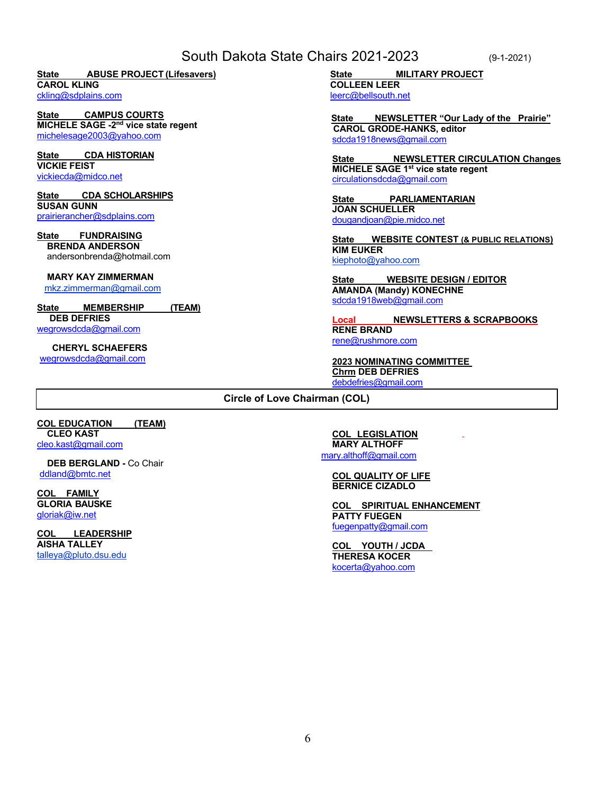#### South Dakota State Chairs 2021-2023 (9-1-2021)

**State ABUSE PROJECT (Lifesavers) CAROL KLING**

ckling@sdplains.com

**State CAMPUS COURTS MICHELE SAGE -2nd vice state regent** michelesage2003@yahoo.com

**State CDA HISTORIAN VICKIE FEIST** vickiecda@midco.net

**State CDA SCHOLARSHIPS SUSAN GUNN** prairierancher@sdplains.com

**State FUNDRAISING BRENDA ANDERSON** andersonbrenda@hotmail.com

**MARY KAY ZIMMERMAN**

mkz.zimmerman@gmail.com

**State MEMBERSHIP (TEAM) DEB DEFRIES** wegrowsdcda@gmail.com

 **CHERYL SCHAEFERS** wegrowsdcda@gmail.com

**State MILITARY PROJECT**

**COLLEEN LEER** leerc@bellsouth.net

**State NEWSLETTER "Our Lady of the Prairie" CAROL GRODE-HANKS, editor** sdcda1918news@gmail.com

**NEWSLETTER CIRCULATION Changes MICHELE SAGE 1st vice state regent** circulationsdcda@gmail.com

**State PARLIAMENTARIAN JOAN SCHUELLER** dougandjoan@pie.midco.net

**State WEBSITE CONTEST (& PUBLIC RELATIONS) KIM EUKER** kiephoto@yahoo.com

**State WEBSITE DESIGN / EDITOR AMANDA (Mandy) KONECHNE** sdcda1918web@gmail.com

**Local NEWSLETTERS & SCRAPBOOKS RENE BRAND** rene@rushmore.com

**2023 NOMINATING COMMITTEE Chrm DEB DEFRIES** debdefries@gmail.com

**Circle of Love Chairman (COL)**

**COL EDUCATION (TEAM) CLEO KAST** cleo.kast@gmail.com

 **DEB BERGLAND -** Co Chair ddland@bmtc.net

**COL FAMILY GLORIA BAUSKE** gloriak@iw.net

**COL LEADERSHIP AISHA TALLEY** talleya@pluto.dsu.edu

**COL LEGISLATION MARY ALTHOFF** mary.althoff@gmail.com

**COL QUALITY OF LIFE BERNICE CIZADLO**

**COL SPIRITUAL ENHANCEMENT PATTY FUEGEN** fuegenpatty@gmail.com

**COL YOUTH / JCDA THERESA KOCER** kocerta@yahoo.com